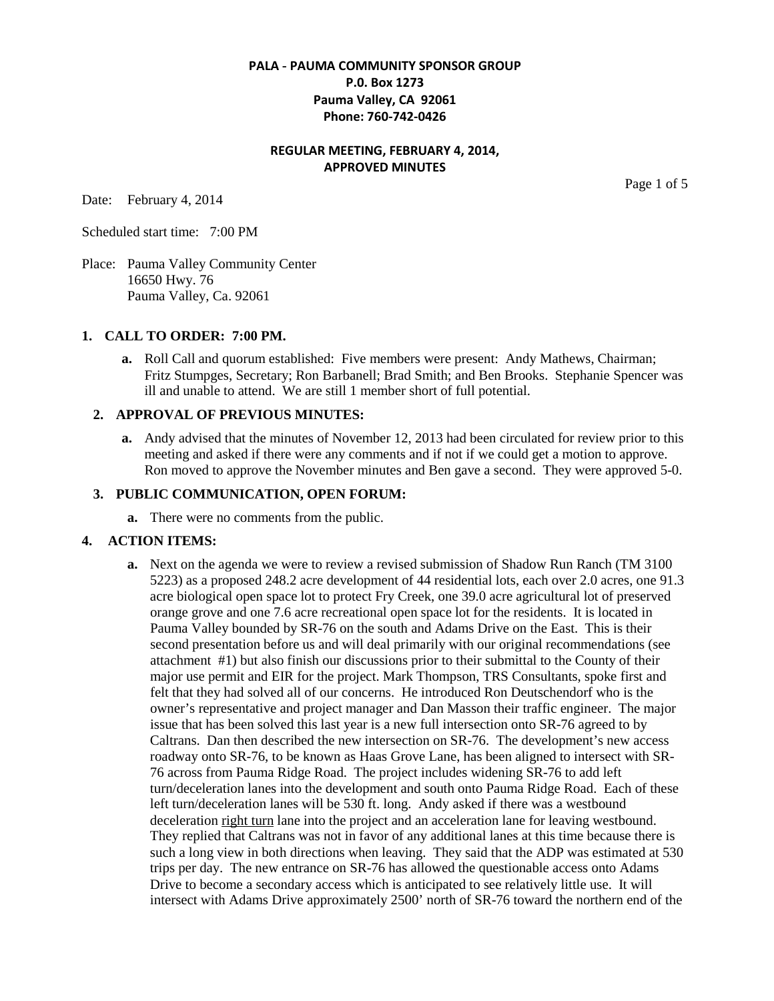# **PALA - PAUMA COMMUNITY SPONSOR GROUP P.0. Box 1273 Pauma Valley, CA 92061 Phone: 760-742-0426**

# **REGULAR MEETING, FEBRUARY 4, 2014, APPROVED MINUTES**

Date: February 4, 2014

Page 1 of 5

Scheduled start time: 7:00 PM

Place: Pauma Valley Community Center 16650 Hwy. 76 Pauma Valley, Ca. 92061

### **1. CALL TO ORDER: 7:00 PM.**

**a.** Roll Call and quorum established: Five members were present: Andy Mathews, Chairman; Fritz Stumpges, Secretary; Ron Barbanell; Brad Smith; and Ben Brooks. Stephanie Spencer was ill and unable to attend. We are still 1 member short of full potential.

### **2. APPROVAL OF PREVIOUS MINUTES:**

**a.** Andy advised that the minutes of November 12, 2013 had been circulated for review prior to this meeting and asked if there were any comments and if not if we could get a motion to approve. Ron moved to approve the November minutes and Ben gave a second. They were approved 5-0.

#### **3. PUBLIC COMMUNICATION, OPEN FORUM:**

**a.** There were no comments from the public.

### **4. ACTION ITEMS:**

**a.** Next on the agenda we were to review a revised submission of Shadow Run Ranch (TM 3100 5223) as a proposed 248.2 acre development of 44 residential lots, each over 2.0 acres, one 91.3 acre biological open space lot to protect Fry Creek, one 39.0 acre agricultural lot of preserved orange grove and one 7.6 acre recreational open space lot for the residents. It is located in Pauma Valley bounded by SR-76 on the south and Adams Drive on the East. This is their second presentation before us and will deal primarily with our original recommendations (see attachment #1) but also finish our discussions prior to their submittal to the County of their major use permit and EIR for the project. Mark Thompson, TRS Consultants, spoke first and felt that they had solved all of our concerns. He introduced Ron Deutschendorf who is the owner's representative and project manager and Dan Masson their traffic engineer. The major issue that has been solved this last year is a new full intersection onto SR-76 agreed to by Caltrans. Dan then described the new intersection on SR-76. The development's new access roadway onto SR-76, to be known as Haas Grove Lane, has been aligned to intersect with SR-76 across from Pauma Ridge Road. The project includes widening SR-76 to add left turn/deceleration lanes into the development and south onto Pauma Ridge Road. Each of these left turn/deceleration lanes will be 530 ft. long. Andy asked if there was a westbound deceleration right turn lane into the project and an acceleration lane for leaving westbound. They replied that Caltrans was not in favor of any additional lanes at this time because there is such a long view in both directions when leaving. They said that the ADP was estimated at 530 trips per day. The new entrance on SR-76 has allowed the questionable access onto Adams Drive to become a secondary access which is anticipated to see relatively little use. It will intersect with Adams Drive approximately 2500' north of SR-76 toward the northern end of the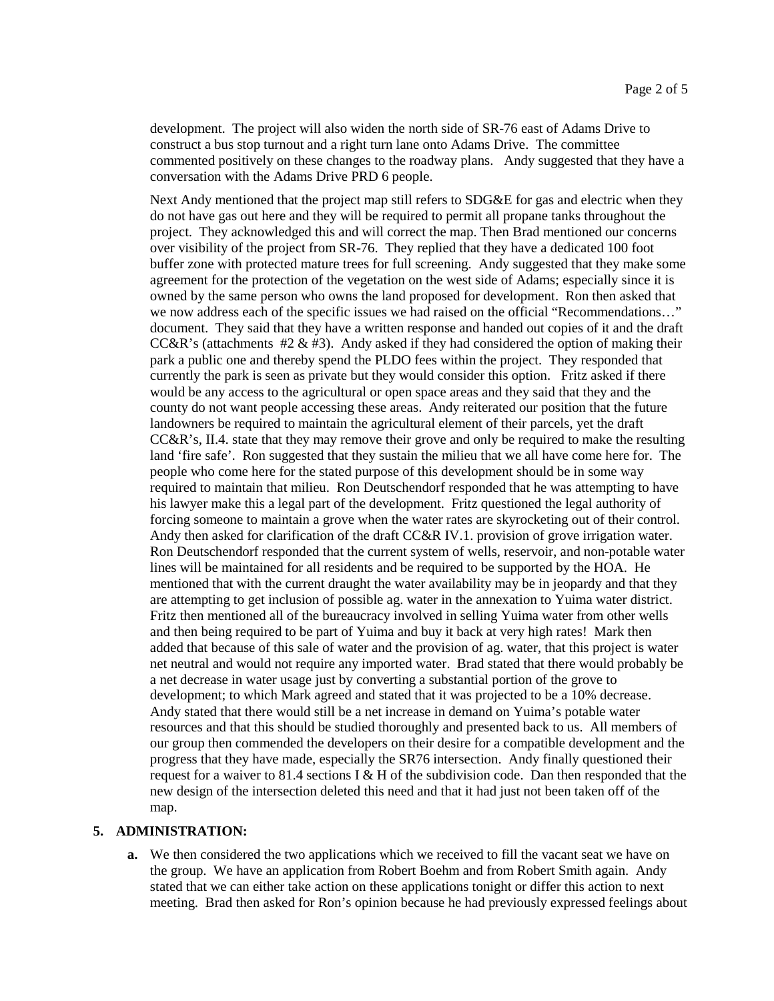development. The project will also widen the north side of SR-76 east of Adams Drive to construct a bus stop turnout and a right turn lane onto Adams Drive. The committee commented positively on these changes to the roadway plans. Andy suggested that they have a conversation with the Adams Drive PRD 6 people.

Next Andy mentioned that the project map still refers to SDG&E for gas and electric when they do not have gas out here and they will be required to permit all propane tanks throughout the project. They acknowledged this and will correct the map. Then Brad mentioned our concerns over visibility of the project from SR-76. They replied that they have a dedicated 100 foot buffer zone with protected mature trees for full screening. Andy suggested that they make some agreement for the protection of the vegetation on the west side of Adams; especially since it is owned by the same person who owns the land proposed for development. Ron then asked that we now address each of the specific issues we had raised on the official "Recommendations…" document. They said that they have a written response and handed out copies of it and the draft CC&R's (attachments  $\#2 \& \#3$ ). Andy asked if they had considered the option of making their park a public one and thereby spend the PLDO fees within the project. They responded that currently the park is seen as private but they would consider this option. Fritz asked if there would be any access to the agricultural or open space areas and they said that they and the county do not want people accessing these areas. Andy reiterated our position that the future landowners be required to maintain the agricultural element of their parcels, yet the draft CC&R's, II.4. state that they may remove their grove and only be required to make the resulting land 'fire safe'. Ron suggested that they sustain the milieu that we all have come here for. The people who come here for the stated purpose of this development should be in some way required to maintain that milieu. Ron Deutschendorf responded that he was attempting to have his lawyer make this a legal part of the development. Fritz questioned the legal authority of forcing someone to maintain a grove when the water rates are skyrocketing out of their control. Andy then asked for clarification of the draft CC&R IV.1. provision of grove irrigation water. Ron Deutschendorf responded that the current system of wells, reservoir, and non-potable water lines will be maintained for all residents and be required to be supported by the HOA. He mentioned that with the current draught the water availability may be in jeopardy and that they are attempting to get inclusion of possible ag. water in the annexation to Yuima water district. Fritz then mentioned all of the bureaucracy involved in selling Yuima water from other wells and then being required to be part of Yuima and buy it back at very high rates! Mark then added that because of this sale of water and the provision of ag. water, that this project is water net neutral and would not require any imported water. Brad stated that there would probably be a net decrease in water usage just by converting a substantial portion of the grove to development; to which Mark agreed and stated that it was projected to be a 10% decrease. Andy stated that there would still be a net increase in demand on Yuima's potable water resources and that this should be studied thoroughly and presented back to us. All members of our group then commended the developers on their desire for a compatible development and the progress that they have made, especially the SR76 intersection. Andy finally questioned their request for a waiver to 81.4 sections I & H of the subdivision code. Dan then responded that the new design of the intersection deleted this need and that it had just not been taken off of the map.

#### **5. ADMINISTRATION:**

**a.** We then considered the two applications which we received to fill the vacant seat we have on the group. We have an application from Robert Boehm and from Robert Smith again. Andy stated that we can either take action on these applications tonight or differ this action to next meeting. Brad then asked for Ron's opinion because he had previously expressed feelings about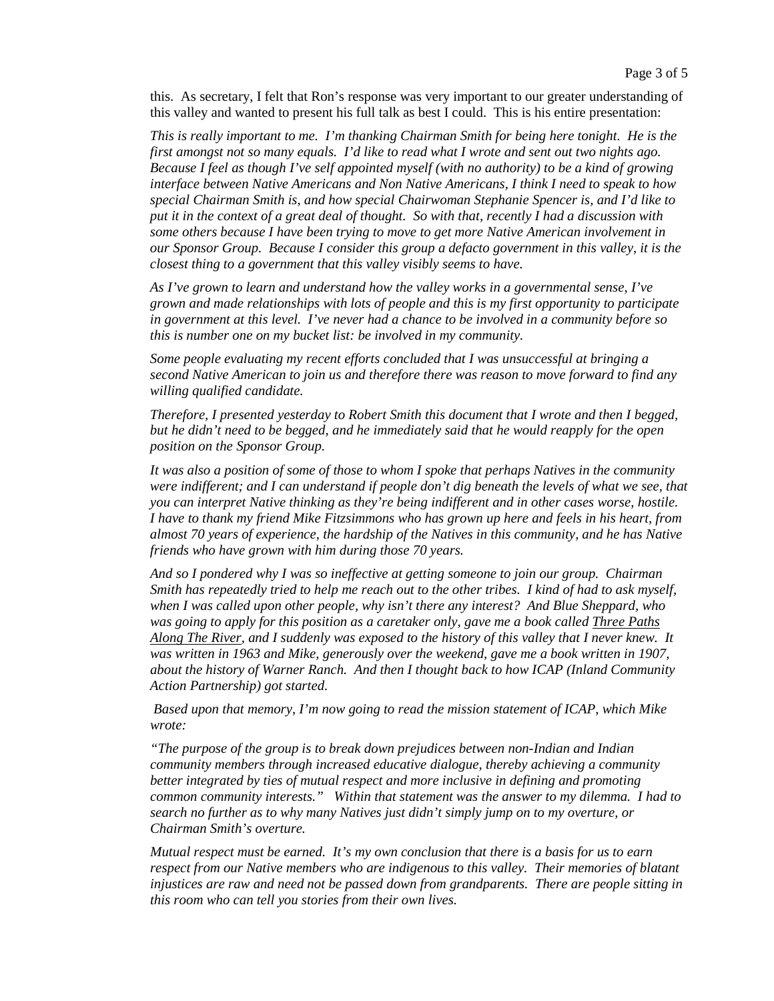this. As secretary, I felt that Ron's response was very important to our greater understanding of this valley and wanted to present his full talk as best I could. This is his entire presentation:

*This is really important to me. I'm thanking Chairman Smith for being here tonight. He is the first amongst not so many equals. I'd like to read what I wrote and sent out two nights ago. Because I feel as though I've self appointed myself (with no authority) to be a kind of growing interface between Native Americans and Non Native Americans, I think I need to speak to how special Chairman Smith is, and how special Chairwoman Stephanie Spencer is, and I'd like to put it in the context of a great deal of thought. So with that, recently I had a discussion with some others because I have been trying to move to get more Native American involvement in our Sponsor Group. Because I consider this group a defacto government in this valley, it is the closest thing to a government that this valley visibly seems to have.*

*As I've grown to learn and understand how the valley works in a governmental sense, I've grown and made relationships with lots of people and this is my first opportunity to participate in government at this level. I've never had a chance to be involved in a community before so this is number one on my bucket list: be involved in my community.*

*Some people evaluating my recent efforts concluded that I was unsuccessful at bringing a second Native American to join us and therefore there was reason to move forward to find any willing qualified candidate.*

*Therefore, I presented yesterday to Robert Smith this document that I wrote and then I begged, but he didn't need to be begged, and he immediately said that he would reapply for the open position on the Sponsor Group.*

*It was also a position of some of those to whom I spoke that perhaps Natives in the community were indifferent; and I can understand if people don't dig beneath the levels of what we see, that you can interpret Native thinking as they're being indifferent and in other cases worse, hostile. I have to thank my friend Mike Fitzsimmons who has grown up here and feels in his heart, from almost 70 years of experience, the hardship of the Natives in this community, and he has Native friends who have grown with him during those 70 years.*

*And so I pondered why I was so ineffective at getting someone to join our group. Chairman Smith has repeatedly tried to help me reach out to the other tribes. I kind of had to ask myself, when I was called upon other people, why isn't there any interest? And Blue Sheppard, who was going to apply for this position as a caretaker only, gave me a book called Three Paths Along The River, and I suddenly was exposed to the history of this valley that I never knew. It was written in 1963 and Mike, generously over the weekend, gave me a book written in 1907, about the history of Warner Ranch. And then I thought back to how ICAP (Inland Community Action Partnership) got started.*

*Based upon that memory, I'm now going to read the mission statement of ICAP, which Mike wrote:*

*"The purpose of the group is to break down prejudices between non-Indian and Indian community members through increased educative dialogue, thereby achieving a community better integrated by ties of mutual respect and more inclusive in defining and promoting common community interests." Within that statement was the answer to my dilemma. I had to search no further as to why many Natives just didn't simply jump on to my overture, or Chairman Smith's overture.*

*Mutual respect must be earned. It's my own conclusion that there is a basis for us to earn respect from our Native members who are indigenous to this valley. Their memories of blatant injustices are raw and need not be passed down from grandparents. There are people sitting in this room who can tell you stories from their own lives.*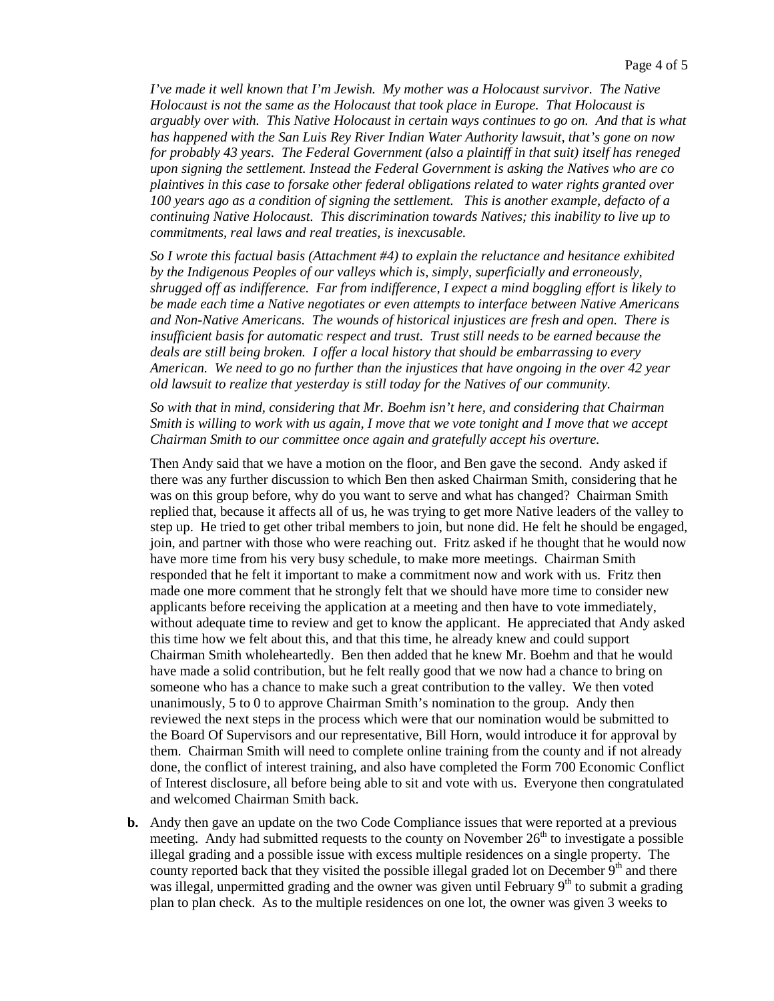*I've made it well known that I'm Jewish. My mother was a Holocaust survivor. The Native Holocaust is not the same as the Holocaust that took place in Europe. That Holocaust is arguably over with. This Native Holocaust in certain ways continues to go on. And that is what has happened with the San Luis Rey River Indian Water Authority lawsuit, that's gone on now for probably 43 years. The Federal Government (also a plaintiff in that suit) itself has reneged upon signing the settlement. Instead the Federal Government is asking the Natives who are co plaintives in this case to forsake other federal obligations related to water rights granted over 100 years ago as a condition of signing the settlement. This is another example, defacto of a continuing Native Holocaust. This discrimination towards Natives; this inability to live up to commitments, real laws and real treaties, is inexcusable.*

*So I wrote this factual basis (Attachment #4) to explain the reluctance and hesitance exhibited by the Indigenous Peoples of our valleys which is, simply, superficially and erroneously, shrugged off as indifference. Far from indifference, I expect a mind boggling effort is likely to be made each time a Native negotiates or even attempts to interface between Native Americans and Non-Native Americans. The wounds of historical injustices are fresh and open. There is insufficient basis for automatic respect and trust. Trust still needs to be earned because the deals are still being broken. I offer a local history that should be embarrassing to every American. We need to go no further than the injustices that have ongoing in the over 42 year old lawsuit to realize that yesterday is still today for the Natives of our community.*

*So with that in mind, considering that Mr. Boehm isn't here, and considering that Chairman Smith is willing to work with us again, I move that we vote tonight and I move that we accept Chairman Smith to our committee once again and gratefully accept his overture.*

Then Andy said that we have a motion on the floor, and Ben gave the second. Andy asked if there was any further discussion to which Ben then asked Chairman Smith, considering that he was on this group before, why do you want to serve and what has changed? Chairman Smith replied that, because it affects all of us, he was trying to get more Native leaders of the valley to step up. He tried to get other tribal members to join, but none did. He felt he should be engaged, join, and partner with those who were reaching out. Fritz asked if he thought that he would now have more time from his very busy schedule, to make more meetings. Chairman Smith responded that he felt it important to make a commitment now and work with us. Fritz then made one more comment that he strongly felt that we should have more time to consider new applicants before receiving the application at a meeting and then have to vote immediately, without adequate time to review and get to know the applicant. He appreciated that Andy asked this time how we felt about this, and that this time, he already knew and could support Chairman Smith wholeheartedly. Ben then added that he knew Mr. Boehm and that he would have made a solid contribution, but he felt really good that we now had a chance to bring on someone who has a chance to make such a great contribution to the valley. We then voted unanimously, 5 to 0 to approve Chairman Smith's nomination to the group. Andy then reviewed the next steps in the process which were that our nomination would be submitted to the Board Of Supervisors and our representative, Bill Horn, would introduce it for approval by them. Chairman Smith will need to complete online training from the county and if not already done, the conflict of interest training, and also have completed the Form 700 Economic Conflict of Interest disclosure, all before being able to sit and vote with us. Everyone then congratulated and welcomed Chairman Smith back.

**b.** Andy then gave an update on the two Code Compliance issues that were reported at a previous meeting. Andy had submitted requests to the county on November  $26<sup>th</sup>$  to investigate a possible illegal grading and a possible issue with excess multiple residences on a single property. The county reported back that they visited the possible illegal graded lot on December 9<sup>th</sup> and there was illegal, unpermitted grading and the owner was given until February  $9<sup>th</sup>$  to submit a grading plan to plan check. As to the multiple residences on one lot, the owner was given 3 weeks to